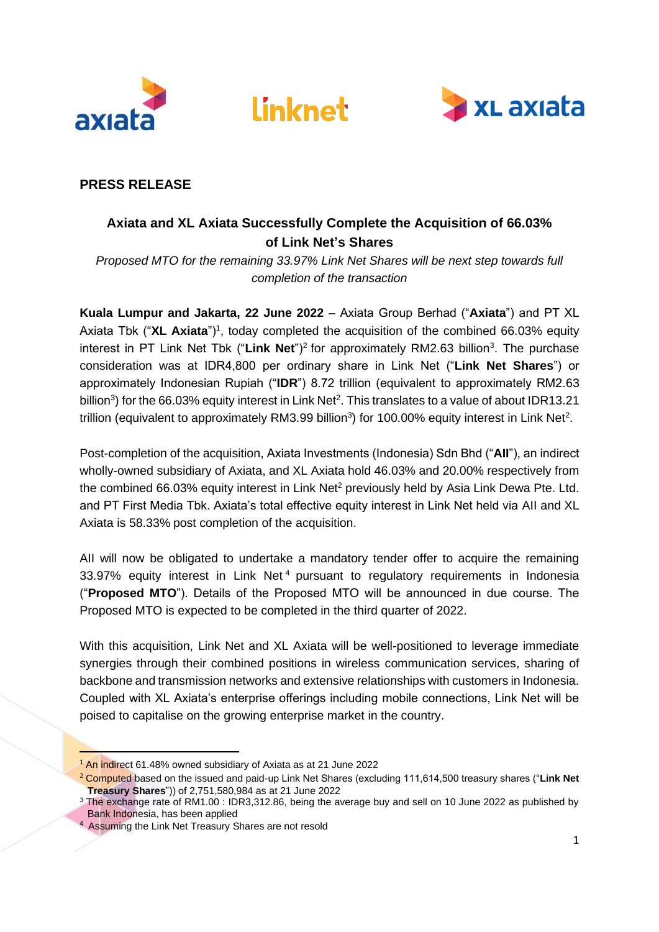





# **PRESS RELEASE**

# **Axiata and XL Axiata Successfully Complete the Acquisition of 66.03% of Link Net's Shares**

*Proposed MTO for the remaining 33.97% Link Net Shares will be next step towards full completion of the transaction*

**Kuala Lumpur and Jakarta, 22 June 2022** – Axiata Group Berhad ("**Axiata**") and PT XL Axiata Tbk ("XL Axiata")<sup>1</sup>, today completed the acquisition of the combined 66.03% equity interest in PT Link Net Tbk ("Link Net")<sup>2</sup> for approximately RM2.63 billion<sup>3</sup>. The purchase consideration was at IDR4,800 per ordinary share in Link Net ("**Link Net Shares**") or approximately Indonesian Rupiah ("**IDR**") 8.72 trillion (equivalent to approximately RM2.63 billion<sup>3</sup>) for the 66.03% equity interest in Link Net<sup>2</sup>. This translates to a value of about IDR13.21 trillion (equivalent to approximately RM3.99 billion<sup>3</sup>) for 100.00% equity interest in Link Net<sup>2</sup>.

Post-completion of the acquisition, Axiata Investments (Indonesia) Sdn Bhd ("**AII**"), an indirect wholly-owned subsidiary of Axiata, and XL Axiata hold 46.03% and 20.00% respectively from the combined 66.03% equity interest in Link Net<sup>2</sup> previously held by Asia Link Dewa Pte. Ltd. and PT First Media Tbk. Axiata's total effective equity interest in Link Net held via AII and XL Axiata is 58.33% post completion of the acquisition.

AII will now be obligated to undertake a mandatory tender offer to acquire the remaining 33.97% equity interest in Link Net<sup>4</sup> pursuant to regulatory requirements in Indonesia ("**Proposed MTO**"). Details of the Proposed MTO will be announced in due course. The Proposed MTO is expected to be completed in the third quarter of 2022.

With this acquisition, Link Net and XL Axiata will be well-positioned to leverage immediate synergies through their combined positions in wireless communication services, sharing of backbone and transmission networks and extensive relationships with customers in Indonesia. Coupled with XL Axiata's enterprise offerings including mobile connections, Link Net will be poised to capitalise on the growing enterprise market in the country.

<sup>&</sup>lt;sup>1</sup> An indirect 61.48% owned subsidiary of Axiata as at 21 June 2022

<sup>2</sup> Computed based on the issued and paid-up Link Net Shares (excluding 111,614,500 treasury shares ("**Link Net Treasury Shares**")) of 2,751,580,984 as at 21 June 2022

<sup>&</sup>lt;sup>3</sup> The exchange rate of RM1.00 : IDR3,312.86, being the average buy and sell on 10 June 2022 as published by Bank Indonesia, has been applied

<sup>&</sup>lt;sup>4</sup> Assuming the Link Net Treasury Shares are not resold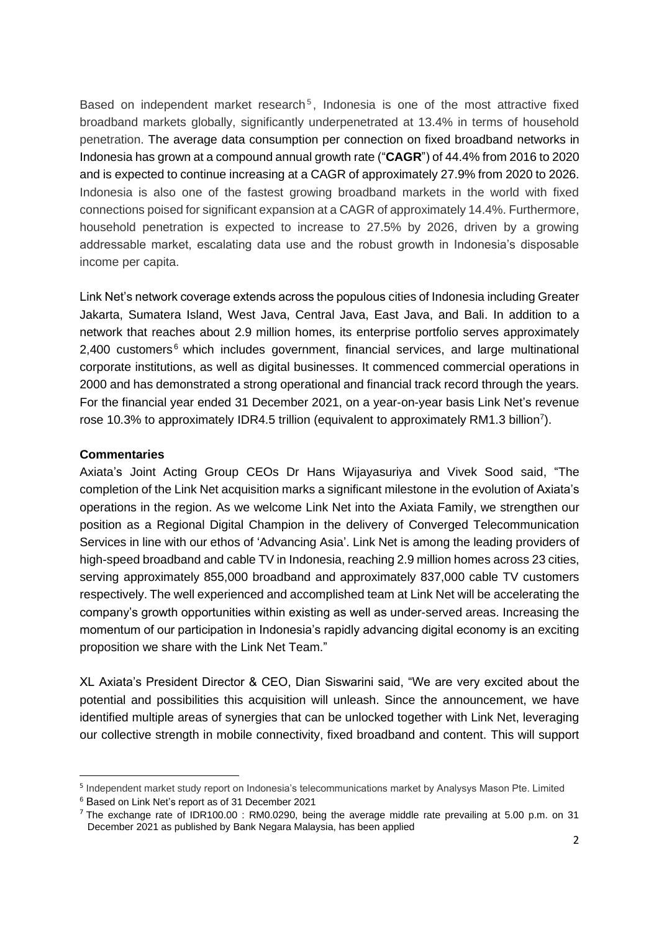Based on independent market research<sup>5</sup>, Indonesia is one of the most attractive fixed broadband markets globally, significantly underpenetrated at 13.4% in terms of household penetration. The average data consumption per connection on fixed broadband networks in Indonesia has grown at a compound annual growth rate ("**CAGR**") of 44.4% from 2016 to 2020 and is expected to continue increasing at a CAGR of approximately 27.9% from 2020 to 2026. Indonesia is also one of the fastest growing broadband markets in the world with fixed connections poised for significant expansion at a CAGR of approximately 14.4%. Furthermore, household penetration is expected to increase to 27.5% by 2026, driven by a growing addressable market, escalating data use and the robust growth in Indonesia's disposable income per capita.

Link Net's network coverage extends across the populous cities of Indonesia including Greater Jakarta, Sumatera Island, West Java, Central Java, East Java, and Bali. In addition to a network that reaches about 2.9 million homes, its enterprise portfolio serves approximately  $2,400$  customers<sup>6</sup> which includes government, financial services, and large multinational corporate institutions, as well as digital businesses. It commenced commercial operations in 2000 and has demonstrated a strong operational and financial track record through the years. For the financial year ended 31 December 2021, on a year-on-year basis Link Net's revenue rose 10.3% to approximately IDR4.5 trillion (equivalent to approximately RM1.3 billion<sup>7</sup>).

## **Commentaries**

Axiata's Joint Acting Group CEOs Dr Hans Wijayasuriya and Vivek Sood said, "The completion of the Link Net acquisition marks a significant milestone in the evolution of Axiata's operations in the region. As we welcome Link Net into the Axiata Family, we strengthen our position as a Regional Digital Champion in the delivery of Converged Telecommunication Services in line with our ethos of 'Advancing Asia'. Link Net is among the leading providers of high-speed broadband and cable TV in Indonesia, reaching 2.9 million homes across 23 cities, serving approximately 855,000 broadband and approximately 837,000 cable TV customers respectively. The well experienced and accomplished team at Link Net will be accelerating the company's growth opportunities within existing as well as under-served areas. Increasing the momentum of our participation in Indonesia's rapidly advancing digital economy is an exciting proposition we share with the Link Net Team."

XL Axiata's President Director & CEO, Dian Siswarini said, "We are very excited about the potential and possibilities this acquisition will unleash. Since the announcement, we have identified multiple areas of synergies that can be unlocked together with Link Net, leveraging our collective strength in mobile connectivity, fixed broadband and content. This will support

<sup>&</sup>lt;sup>5</sup> Independent market study report on Indonesia's telecommunications market by Analysys Mason Pte. Limited

<sup>6</sup> Based on Link Net's report as of 31 December 2021

<sup>&</sup>lt;sup>7</sup> The exchange rate of IDR100.00 : RM0.0290, being the average middle rate prevailing at 5.00 p.m. on 31 December 2021 as published by Bank Negara Malaysia, has been applied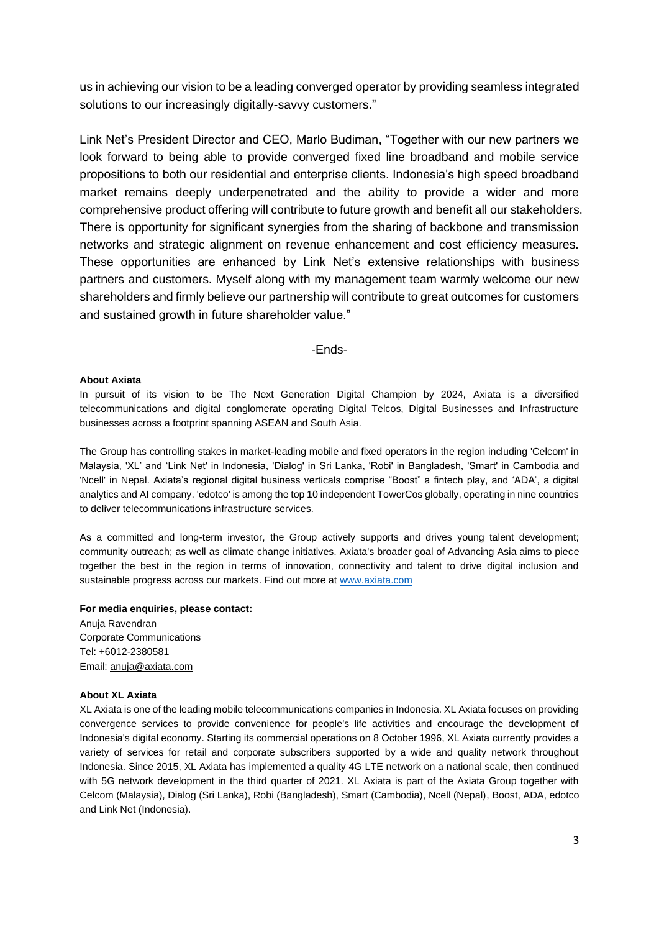us in achieving our vision to be a leading converged operator by providing seamless integrated solutions to our increasingly digitally-savvy customers."

Link Net's President Director and CEO, Marlo Budiman, "Together with our new partners we look forward to being able to provide converged fixed line broadband and mobile service propositions to both our residential and enterprise clients. Indonesia's high speed broadband market remains deeply underpenetrated and the ability to provide a wider and more comprehensive product offering will contribute to future growth and benefit all our stakeholders. There is opportunity for significant synergies from the sharing of backbone and transmission networks and strategic alignment on revenue enhancement and cost efficiency measures. These opportunities are enhanced by Link Net's extensive relationships with business partners and customers. Myself along with my management team warmly welcome our new shareholders and firmly believe our partnership will contribute to great outcomes for customers and sustained growth in future shareholder value."

## -Ends-

### **About Axiata**

In pursuit of its vision to be The Next Generation Digital Champion by 2024, Axiata is a diversified telecommunications and digital conglomerate operating Digital Telcos, Digital Businesses and Infrastructure businesses across a footprint spanning ASEAN and South Asia.

The Group has controlling stakes in market-leading mobile and fixed operators in the region including 'Celcom' in Malaysia, 'XL' and 'Link Net' in Indonesia, 'Dialog' in Sri Lanka, 'Robi' in Bangladesh, 'Smart' in Cambodia and 'Ncell' in Nepal. Axiata's regional digital business verticals comprise "Boost" a fintech play, and 'ADA', a digital analytics and AI company. 'edotco' is among the top 10 independent TowerCos globally, operating in nine countries to deliver telecommunications infrastructure services.

As a committed and long-term investor, the Group actively supports and drives young talent development; community outreach; as well as climate change initiatives. Axiata's broader goal of Advancing Asia aims to piece together the best in the region in terms of innovation, connectivity and talent to drive digital inclusion and sustainable progress across our markets. Find out more at [www.axiata.com](https://aus01.safelinks.protection.outlook.com/?url=http%3A%2F%2Fwww.axiata.com%2F&data=05%7C01%7Canuja%40axiata.com%7C9653918c5887496f8a1108da4f783111%7Ce08bcf38c52244a48d2e33a36b7639de%7C0%7C0%7C637909674895054656%7CUnknown%7CTWFpbGZsb3d8eyJWIjoiMC4wLjAwMDAiLCJQIjoiV2luMzIiLCJBTiI6Ik1haWwiLCJXVCI6Mn0%3D%7C3000%7C%7C%7C&sdata=PxoovSo1HePQd1YOeqI4ZegrPRw7Ql1S4bS5zT4ZZKc%3D&reserved=0)

**For media enquiries, please contact:**

Anuja Ravendran Corporate Communications Tel: +6012-2380581 Email[: anuja@axiata.com](mailto:anuja@axiata.com)

#### **About XL Axiata**

XL Axiata is one of the leading mobile telecommunications companies in Indonesia. XL Axiata focuses on providing convergence services to provide convenience for people's life activities and encourage the development of Indonesia's digital economy. Starting its commercial operations on 8 October 1996, XL Axiata currently provides a variety of services for retail and corporate subscribers supported by a wide and quality network throughout Indonesia. Since 2015, XL Axiata has implemented a quality 4G LTE network on a national scale, then continued with 5G network development in the third quarter of 2021. XL Axiata is part of the Axiata Group together with Celcom (Malaysia), Dialog (Sri Lanka), Robi (Bangladesh), Smart (Cambodia), Ncell (Nepal), Boost, ADA, edotco and Link Net (Indonesia).